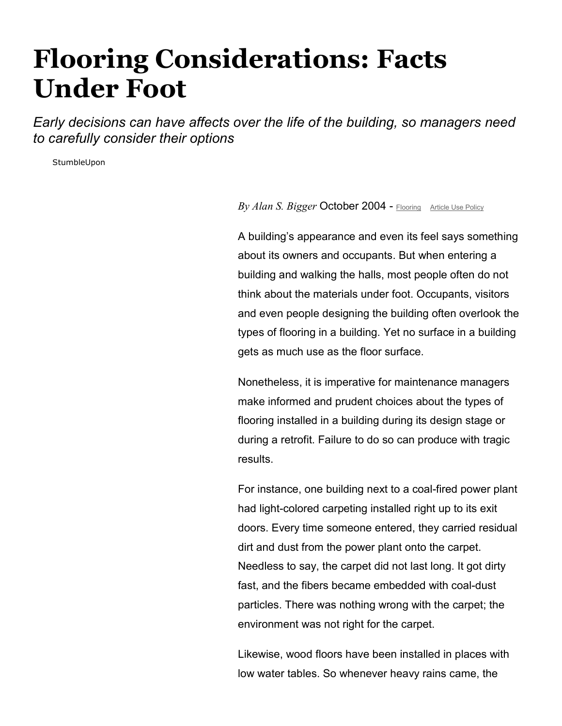## Flooring Considerations: Facts Under Foot

Early decisions can have affects over the life of the building, so managers need to carefully consider their options

StumbleUpon

By Alan S. Bigger October 2004 - Flooring Article Use Policy

A building's appearance and even its feel says something about its owners and occupants. But when entering a building and walking the halls, most people often do not think about the materials under foot. Occupants, visitors and even people designing the building often overlook the types of flooring in a building. Yet no surface in a building gets as much use as the floor surface.

Nonetheless, it is imperative for maintenance managers make informed and prudent choices about the types of flooring installed in a building during its design stage or during a retrofit. Failure to do so can produce with tragic results.

For instance, one building next to a coal-fired power plant had light-colored carpeting installed right up to its exit doors. Every time someone entered, they carried residual dirt and dust from the power plant onto the carpet. Needless to say, the carpet did not last long. It got dirty fast, and the fibers became embedded with coal-dust particles. There was nothing wrong with the carpet; the environment was not right for the carpet.

Likewise, wood floors have been installed in places with low water tables. So whenever heavy rains came, the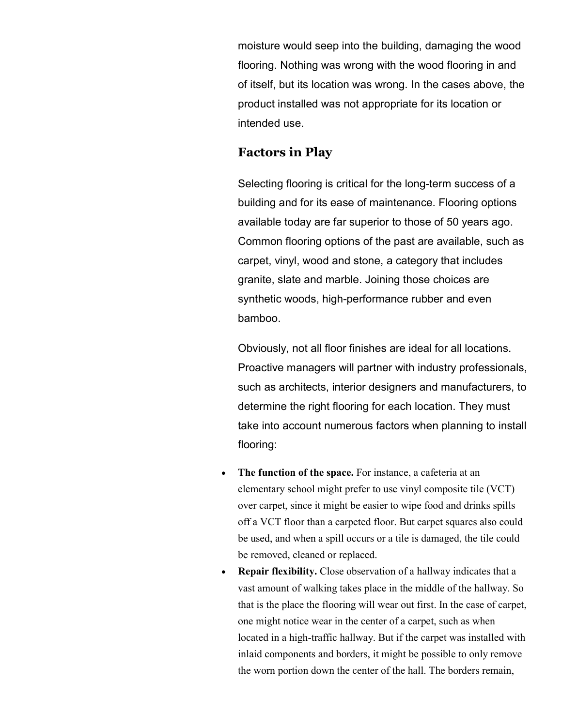moisture would seep into the building, damaging the wood flooring. Nothing was wrong with the wood flooring in and of itself, but its location was wrong. In the cases above, the product installed was not appropriate for its location or intended use.

## Factors in Play

Selecting flooring is critical for the long-term success of a building and for its ease of maintenance. Flooring options available today are far superior to those of 50 years ago. Common flooring options of the past are available, such as carpet, vinyl, wood and stone, a category that includes granite, slate and marble. Joining those choices are synthetic woods, high-performance rubber and even bamboo.

Obviously, not all floor finishes are ideal for all locations. Proactive managers will partner with industry professionals, such as architects, interior designers and manufacturers, to determine the right flooring for each location. They must take into account numerous factors when planning to install flooring:

- The function of the space. For instance, a cafeteria at an elementary school might prefer to use vinyl composite tile (VCT) over carpet, since it might be easier to wipe food and drinks spills off a VCT floor than a carpeted floor. But carpet squares also could be used, and when a spill occurs or a tile is damaged, the tile could be removed, cleaned or replaced.
- Repair flexibility. Close observation of a hallway indicates that a vast amount of walking takes place in the middle of the hallway. So that is the place the flooring will wear out first. In the case of carpet, one might notice wear in the center of a carpet, such as when located in a high-traffic hallway. But if the carpet was installed with inlaid components and borders, it might be possible to only remove the worn portion down the center of the hall. The borders remain,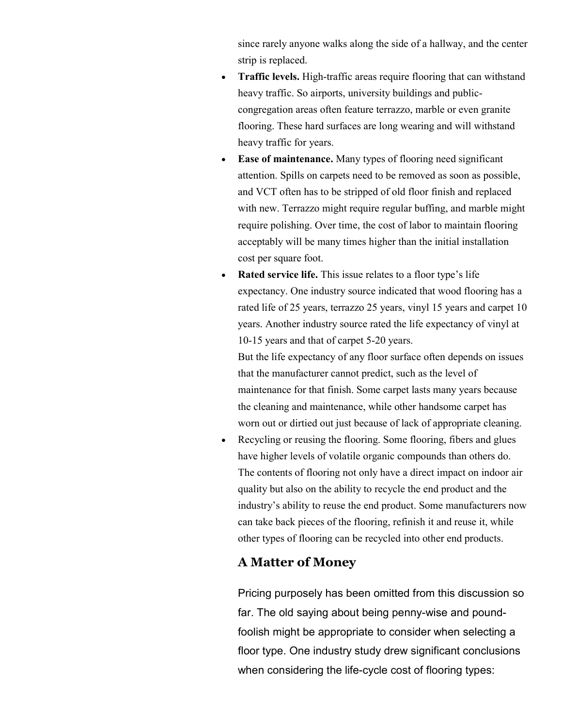since rarely anyone walks along the side of a hallway, and the center strip is replaced.

- Traffic levels. High-traffic areas require flooring that can withstand heavy traffic. So airports, university buildings and publiccongregation areas often feature terrazzo, marble or even granite flooring. These hard surfaces are long wearing and will withstand heavy traffic for years.
- Ease of maintenance. Many types of flooring need significant attention. Spills on carpets need to be removed as soon as possible, and VCT often has to be stripped of old floor finish and replaced with new. Terrazzo might require regular buffing, and marble might require polishing. Over time, the cost of labor to maintain flooring acceptably will be many times higher than the initial installation cost per square foot.
- Rated service life. This issue relates to a floor type's life expectancy. One industry source indicated that wood flooring has a rated life of 25 years, terrazzo 25 years, vinyl 15 years and carpet 10 years. Another industry source rated the life expectancy of vinyl at 10-15 years and that of carpet 5-20 years.

But the life expectancy of any floor surface often depends on issues that the manufacturer cannot predict, such as the level of maintenance for that finish. Some carpet lasts many years because the cleaning and maintenance, while other handsome carpet has worn out or dirtied out just because of lack of appropriate cleaning.

• Recycling or reusing the flooring. Some flooring, fibers and glues have higher levels of volatile organic compounds than others do. The contents of flooring not only have a direct impact on indoor air quality but also on the ability to recycle the end product and the industry's ability to reuse the end product. Some manufacturers now can take back pieces of the flooring, refinish it and reuse it, while other types of flooring can be recycled into other end products.

## A Matter of Money

Pricing purposely has been omitted from this discussion so far. The old saying about being penny-wise and poundfoolish might be appropriate to consider when selecting a floor type. One industry study drew significant conclusions when considering the life-cycle cost of flooring types: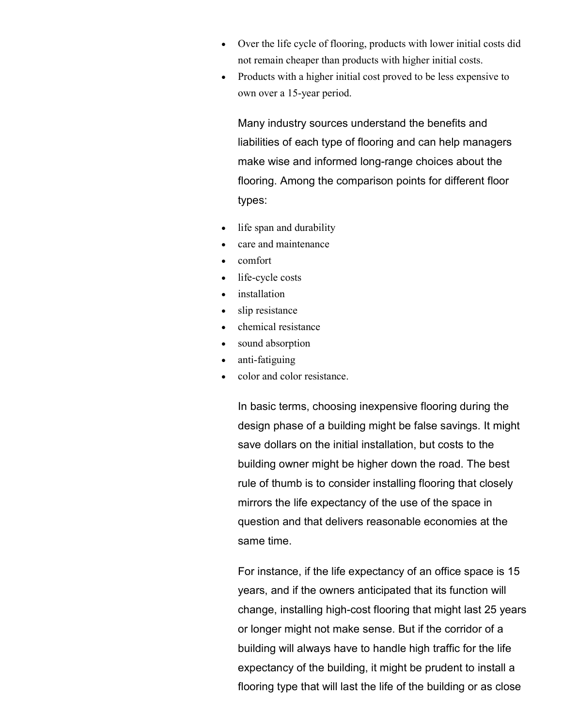- Over the life cycle of flooring, products with lower initial costs did not remain cheaper than products with higher initial costs.
- Products with a higher initial cost proved to be less expensive to own over a 15-year period.

Many industry sources understand the benefits and liabilities of each type of flooring and can help managers make wise and informed long-range choices about the flooring. Among the comparison points for different floor types:

- life span and durability
- care and maintenance
- comfort
- life-cycle costs
- installation
- slip resistance
- chemical resistance
- sound absorption
- anti-fatiguing
- color and color resistance.

In basic terms, choosing inexpensive flooring during the design phase of a building might be false savings. It might save dollars on the initial installation, but costs to the building owner might be higher down the road. The best rule of thumb is to consider installing flooring that closely mirrors the life expectancy of the use of the space in question and that delivers reasonable economies at the same time.

For instance, if the life expectancy of an office space is 15 years, and if the owners anticipated that its function will change, installing high-cost flooring that might last 25 years or longer might not make sense. But if the corridor of a building will always have to handle high traffic for the life expectancy of the building, it might be prudent to install a flooring type that will last the life of the building or as close